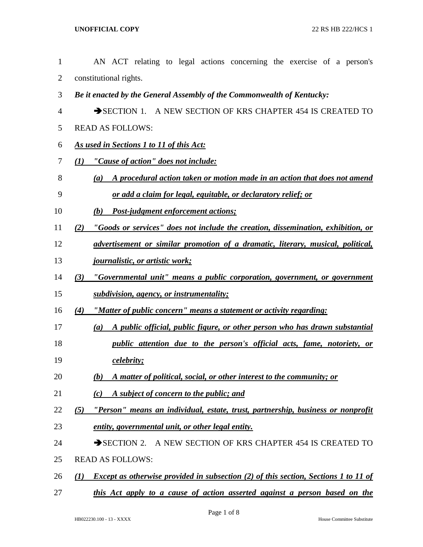| $\mathbf{1}$   | AN ACT relating to legal actions concerning the exercise of a person's                            |
|----------------|---------------------------------------------------------------------------------------------------|
| $\overline{2}$ | constitutional rights.                                                                            |
| 3              | Be it enacted by the General Assembly of the Commonwealth of Kentucky:                            |
| 4              | SECTION 1. A NEW SECTION OF KRS CHAPTER 454 IS CREATED TO                                         |
| 5              | <b>READ AS FOLLOWS:</b>                                                                           |
| 6              | As used in Sections 1 to 11 of this Act:                                                          |
| 7              | "Cause of action" does not include:<br>(1)                                                        |
| 8              | A procedural action taken or motion made in an action that does not amend<br>(a)                  |
| 9              | <u>or add a claim for legal, equitable, or declaratory relief; or</u>                             |
| 10             | Post-judgment enforcement actions;<br>(b)                                                         |
| 11             | "Goods or services" does not include the creation, dissemination, exhibition, or<br>(2)           |
| 12             | advertisement or similar promotion of a dramatic, literary, musical, political,                   |
| 13             | <u>journalistic, or artistic work;</u>                                                            |
| 14             | "Governmental unit" means a public corporation, government, or government<br>(3)                  |
| 15             | subdivision, agency, or instrumentality;                                                          |
| 16             | "Matter of public concern" means a statement or activity regarding:<br>(4)                        |
| 17             | A public official, public figure, or other person who has drawn substantial<br>(a)                |
| 18             | <i>public attention due to the person's official acts, fame, notoriety, or</i>                    |
| 19             | <i>celebrity;</i>                                                                                 |
| 20             | A matter of political, social, or other interest to the community; or<br>(b)                      |
| 21             | A subject of concern to the public; and<br>(c)                                                    |
| 22             | "Person" means an individual, estate, trust, partnership, business or nonprofit<br>(5)            |
| 23             | entity, governmental unit, or other legal entity.                                                 |
| 24             | SECTION 2. A NEW SECTION OF KRS CHAPTER 454 IS CREATED TO                                         |
| 25             | <b>READ AS FOLLOWS:</b>                                                                           |
| 26             | <b>Except as otherwise provided in subsection (2) of this section, Sections 1 to 11 of</b><br>(I) |
| 27             | this Act apply to a cause of action asserted against a person based on the                        |
|                |                                                                                                   |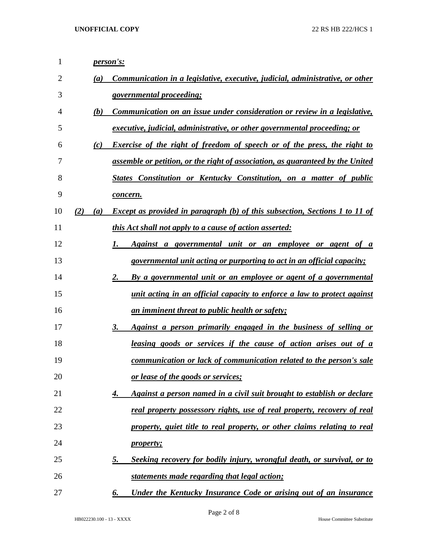| 1  |     |     | person's:                                                                           |
|----|-----|-----|-------------------------------------------------------------------------------------|
| 2  |     | (a) | Communication in a legislative, executive, judicial, administrative, or other       |
| 3  |     |     | governmental proceeding;                                                            |
| 4  |     | (b) | Communication on an issue under consideration or review in a legislative,           |
| 5  |     |     | executive, judicial, administrative, or other governmental proceeding; or           |
| 6  |     | (c) | <b>Exercise of the right of freedom of speech or of the press, the right to</b>     |
| 7  |     |     | assemble or petition, or the right of association, as guaranteed by the United      |
| 8  |     |     | States Constitution or Kentucky Constitution, on a matter of public                 |
| 9  |     |     | <u>concern.</u>                                                                     |
| 10 | (2) | (a) | <b>Except as provided in paragraph (b) of this subsection, Sections 1 to 11 of</b>  |
| 11 |     |     | <i>this Act shall not apply to a cause of action asserted:</i>                      |
| 12 |     |     | Against a governmental unit or an employee or agent of a<br>1.                      |
| 13 |     |     | <i>governmental unit acting or purporting to act in an official capacity;</i>       |
| 14 |     |     | By a governmental unit or an employee or agent of a governmental<br>2.              |
| 15 |     |     | unit acting in an official capacity to enforce a law to protect against             |
| 16 |     |     | <u>an imminent threat to public health or safety;</u>                               |
| 17 |     |     | Against a person primarily engaged in the business of selling or<br>3.              |
| 18 |     |     | <u>leasing goods or services if the cause of action arises out of a</u>             |
| 19 |     |     | communication or lack of communication related to the person's sale                 |
| 20 |     |     | <u>or lease of the goods or services;</u>                                           |
| 21 |     |     | Against a person named in a civil suit brought to establish or declare<br>4.        |
| 22 |     |     | real property possessory rights, use of real property, recovery of real             |
| 23 |     |     | property, quiet title to real property, or other claims relating to real            |
| 24 |     |     | <i>property;</i>                                                                    |
| 25 |     |     | Seeking recovery for bodily injury, wrongful death, or survival, or to<br><u>5.</u> |
| 26 |     |     | statements made regarding that legal action;                                        |
| 27 |     |     | Under the Kentucky Insurance Code or arising out of an insurance<br>6.              |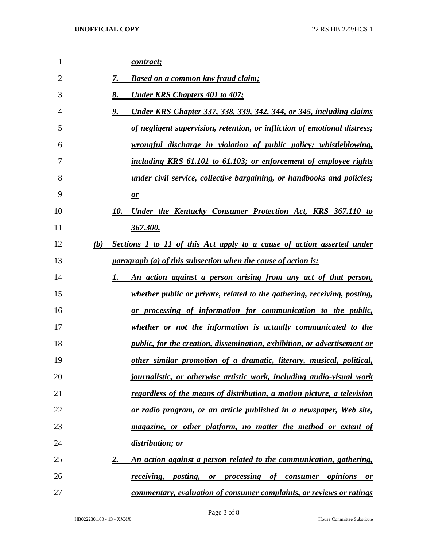| 1              |     | contract;                                                                                            |
|----------------|-----|------------------------------------------------------------------------------------------------------|
| $\overline{2}$ |     | 7.<br><u>Based on a common law fraud claim;</u>                                                      |
| 3              |     | 8.<br><b>Under KRS Chapters 401 to 407;</b>                                                          |
| 4              |     | Under KRS Chapter 337, 338, 339, 342, 344, or 345, including claims<br>9.                            |
| 5              |     | <u>of negligent supervision, retention, or infliction of emotional distress;</u>                     |
| 6              |     | wrongful discharge in violation of public policy; whistleblowing,                                    |
| 7              |     | including KRS 61.101 to 61.103; or enforcement of employee rights                                    |
| 8              |     | under civil service, collective bargaining, or handbooks and policies;                               |
| 9              |     | $\mathbf{r}$                                                                                         |
| 10             |     | 10.<br>Under the Kentucky Consumer Protection Act, KRS 367.110 to                                    |
| 11             |     | 367.300.                                                                                             |
| 12             | (b) | <b>Sections 1 to 11 of this Act apply to a cause of action asserted under</b>                        |
| 13             |     | <i>paragraph (a) of this subsection when the cause of action is:</i>                                 |
| 14             |     | An action against a person arising from any act of that person,<br>1.                                |
| 15             |     | <i>whether public or private, related to the gathering, receiving, posting,</i>                      |
| 16             |     | or processing of information for communication to the public,                                        |
| 17             |     | whether or not the information is actually communicated to the                                       |
| 18             |     | <i>public, for the creation, dissemination, exhibition, or advertisement or</i>                      |
| 19             |     | other similar promotion of a dramatic, literary, musical, political,                                 |
| 20             |     | <i>journalistic, or otherwise artistic work, including audio-visual work</i>                         |
| 21             |     | regardless of the means of distribution, a motion picture, a television                              |
| 22             |     | <u>or radio program, or an article published in a newspaper, Web site,</u>                           |
| 23             |     | magazine, or other platform, no matter the method or extent of                                       |
| 24             |     | distribution; or                                                                                     |
| 25             |     | An action against a person related to the communication, gathering,<br>2.                            |
| 26             |     | <i>receiving</i> , <i>posting</i> , <i>or processing of consumer</i><br><i>opinions</i><br><b>or</b> |
| 27             |     | commentary, evaluation of consumer complaints, or reviews or ratings                                 |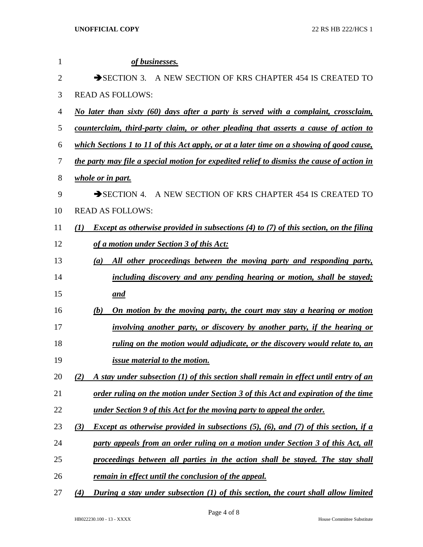| 1              | of businesses.                                                                                      |
|----------------|-----------------------------------------------------------------------------------------------------|
| $\overline{2}$ | $\rightarrow$ SECTION 3.<br>A NEW SECTION OF KRS CHAPTER 454 IS CREATED TO                          |
| 3              | <b>READ AS FOLLOWS:</b>                                                                             |
| 4              | No later than sixty (60) days after a party is served with a complaint, crossclaim,                 |
| 5              | counterclaim, third-party claim, or other pleading that asserts a cause of action to                |
| 6              | which Sections 1 to 11 of this Act apply, or at a later time on a showing of good cause,            |
| 7              | the party may file a special motion for expedited relief to dismiss the cause of action in          |
| 8              | <i>whole or in part.</i>                                                                            |
| 9              | $\rightarrow$ SECTION 4. A NEW SECTION OF KRS CHAPTER 454 IS CREATED TO                             |
| 10             | <b>READ AS FOLLOWS:</b>                                                                             |
| 11             | <i>Except as otherwise provided in subsections (4) to (7) of this section, on the filing</i><br>(I) |
| 12             | of a motion under Section 3 of this Act:                                                            |
| 13             | All other proceedings between the moving party and responding party,<br>(a)                         |
| 14             | including discovery and any pending hearing or motion, shall be stayed;                             |
| 15             | and                                                                                                 |
| 16             | (b)<br>On motion by the moving party, the court may stay a hearing or motion                        |
| 17             | involving another party, or discovery by another party, if the hearing or                           |
| 18             | ruling on the motion would adjudicate, or the discovery would relate to, an                         |
| 19             | <i><u>issue material to the motion.</u></i>                                                         |
| 20             | A stay under subsection (1) of this section shall remain in effect until entry of an<br>(2)         |
| 21             | <u>order ruling on the motion under Section 3 of this Act and expiration of the time</u>            |
| 22             | <u>under Section 9 of this Act for the moving party to appeal the order.</u>                        |
| 23             | <i>Except as otherwise provided in subsections (5), (6), and (7) of this section, if a</i><br>(3)   |
| 24             | party appeals from an order ruling on a motion under Section 3 of this Act, all                     |
| 25             | proceedings between all parties in the action shall be stayed. The stay shall                       |
| 26             | <u>remain in effect until the conclusion of the appeal.</u>                                         |
| 27             | During a stay under subsection (1) of this section, the court shall allow limited<br>(4)            |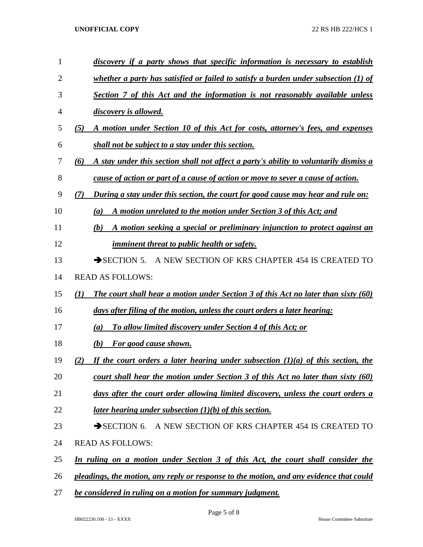## **UNOFFICIAL COPY** 22 RS HB 222/HCS 1

| $\mathbf{1}$   | discovery if a party shows that specific information is necessary to establish                   |
|----------------|--------------------------------------------------------------------------------------------------|
| $\overline{2}$ | whether a party has satisfied or failed to satisfy a burden under subsection $(1)$ of            |
| 3              | Section 7 of this Act and the information is not reasonably available unless                     |
| 4              | discovery is allowed.                                                                            |
| 5              | A motion under Section 10 of this Act for costs, attorney's fees, and expenses<br>(5)            |
| 6              | shall not be subject to a stay under this section.                                               |
| 7              | A stay under this section shall not affect a party's ability to voluntarily dismiss a<br>(6)     |
| 8              | cause of action or part of a cause of action or move to sever a cause of action.                 |
| 9              | During a stay under this section, the court for good cause may hear and rule on:<br>(7)          |
| 10             | A motion unrelated to the motion under Section 3 of this Act; and<br>(a)                         |
| 11             | A motion seeking a special or preliminary injunction to protect against an<br>(b)                |
| 12             | <i>imminent threat to public health or safety.</i>                                               |
| 13             | A NEW SECTION OF KRS CHAPTER 454 IS CREATED TO<br>$\rightarrow$ SECTION 5.                       |
| 14             | <b>READ AS FOLLOWS:</b>                                                                          |
| 15             | <b>The court shall hear a motion under Section 3 of this Act no later than sixty (60)</b><br>(I) |
| 16             | days after filing of the motion, unless the court orders a later hearing:                        |
| 17             | To allow limited discovery under Section 4 of this Act; or<br>(a)                                |
| 18             | For good cause shown.<br>(b)                                                                     |
| 19             | If the court orders a later hearing under subsection $(1)(a)$ of this section, the<br>(2)        |
| 20             | <u>court shall hear the motion under Section 3 of this Act no later than sixty (60)</u>          |
| 21             | days after the court order allowing limited discovery, unless the court orders a                 |
| 22             | later hearing under subsection $(1)(b)$ of this section.                                         |
| 23             | SECTION 6. A NEW SECTION OF KRS CHAPTER 454 IS CREATED TO                                        |
| 24             | <b>READ AS FOLLOWS:</b>                                                                          |
| 25             | In ruling on a motion under Section 3 of this Act, the court shall consider the                  |
| 26             | pleadings, the motion, any reply or response to the motion, and any evidence that could          |
| 27             | be considered in ruling on a motion for summary judgment.                                        |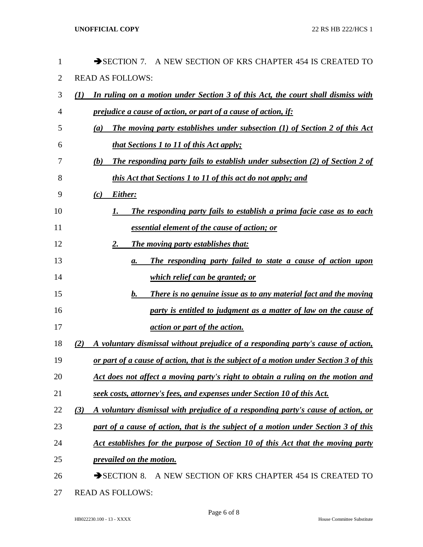| 1              | SECTION 7.<br>A NEW SECTION OF KRS CHAPTER 454 IS CREATED TO                                          |
|----------------|-------------------------------------------------------------------------------------------------------|
| $\overline{2}$ | <b>READ AS FOLLOWS:</b>                                                                               |
| 3              | In ruling on a motion under Section 3 of this Act, the court shall dismiss with<br>(I)                |
| 4              | <i><u>prejudice a cause of action, or part of a cause of action, if:</u></i>                          |
| 5              | <b>The moving party establishes under subsection (1) of Section 2 of this Act</b><br>$\left(a\right)$ |
| 6              | <i>that Sections 1 to 11 of this Act apply;</i>                                                       |
| 7              | <b>The responding party fails to establish under subsection (2) of Section 2 of</b><br>(b)            |
| 8              | <i>this Act that Sections 1 to 11 of this act do not apply; and</i>                                   |
| 9              | Either:<br>(c)                                                                                        |
| 10             | The responding party fails to establish a prima facie case as to each<br>1.                           |
| 11             | <u>essential element of the cause of action; or</u>                                                   |
| 12             | The moving party establishes that:<br>2.                                                              |
| 13             | The responding party failed to state a cause of action upon<br>а.                                     |
| 14             | <i>which relief can be granted; or</i>                                                                |
| 15             | <b>There is no genuine issue as to any material fact and the moving</b><br>$\mathbf{b}$ .             |
| 16             | party is entitled to judgment as a matter of law on the cause of                                      |
| 17             | action or part of the action.                                                                         |
| 18             | A voluntary dismissal without prejudice of a responding party's cause of action,<br>(2)               |
| 19             | or part of a cause of action, that is the subject of a motion under Section 3 of this                 |
| 20             | Act does not affect a moving party's right to obtain a ruling on the motion and                       |
| 21             | seek costs, attorney's fees, and expenses under Section 10 of this Act.                               |
| 22             | A voluntary dismissal with prejudice of a responding party's cause of action, or<br>(3)               |
| 23             | part of a cause of action, that is the subject of a motion under Section 3 of this                    |
| 24             | Act establishes for the purpose of Section 10 of this Act that the moving party                       |
| 25             | prevailed on the motion.                                                                              |
| 26             | $\rightarrow$ SECTION 8.<br>A NEW SECTION OF KRS CHAPTER 454 IS CREATED TO                            |
| 27             | <b>READ AS FOLLOWS:</b>                                                                               |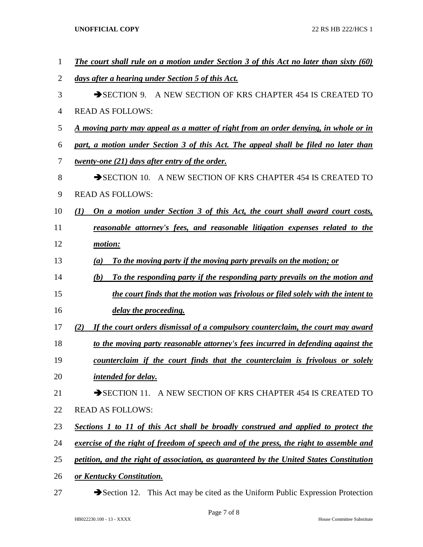**UNOFFICIAL COPY** 22 RS HB 222/HCS 1

| $\mathbf{1}$   | <b>The court shall rule on a motion under Section 3 of this Act no later than sixty (60)</b> |
|----------------|----------------------------------------------------------------------------------------------|
| $\overline{2}$ | days after a hearing under Section 5 of this Act.                                            |
| 3              | SECTION 9. A NEW SECTION OF KRS CHAPTER 454 IS CREATED TO                                    |
| $\overline{4}$ | <b>READ AS FOLLOWS:</b>                                                                      |
| 5              | A moving party may appeal as a matter of right from an order denying, in whole or in         |
| 6              | part, a motion under Section 3 of this Act. The appeal shall be filed no later than          |
| 7              | <i>twenty-one (21) days after entry of the order.</i>                                        |
| 8              | SECTION 10. A NEW SECTION OF KRS CHAPTER 454 IS CREATED TO                                   |
| 9              | <b>READ AS FOLLOWS:</b>                                                                      |
| 10             | On a motion under Section 3 of this Act, the court shall award court costs,<br>(1)           |
| 11             | reasonable attorney's fees, and reasonable litigation expenses related to the                |
| 12             | motion:                                                                                      |
| 13             | To the moving party if the moving party prevails on the motion; or<br>(a)                    |
| 14             | To the responding party if the responding party prevails on the motion and<br>(b)            |
| 15             | the court finds that the motion was frivolous or filed solely with the intent to             |
| 16             | delay the proceeding.                                                                        |
| 17             | If the court orders dismissal of a compulsory counterclaim, the court may award<br>(2)       |
| 18             | to the moving party reasonable attorney's fees incurred in defending against the             |
| 19             | counterclaim if the court finds that the counterclaim is frivolous or solely                 |
| 20             | intended for delay.                                                                          |
| 21             | SECTION 11. A NEW SECTION OF KRS CHAPTER 454 IS CREATED TO                                   |
| 22             | <b>READ AS FOLLOWS:</b>                                                                      |
| 23             | Sections 1 to 11 of this Act shall be broadly construed and applied to protect the           |
| 24             | exercise of the right of freedom of speech and of the press, the right to assemble and       |
| 25             | petition, and the right of association, as guaranteed by the United States Constitution      |
| 26             | or Kentucky Constitution.                                                                    |
| 27             | Section 12. This Act may be cited as the Uniform Public Expression Protection                |